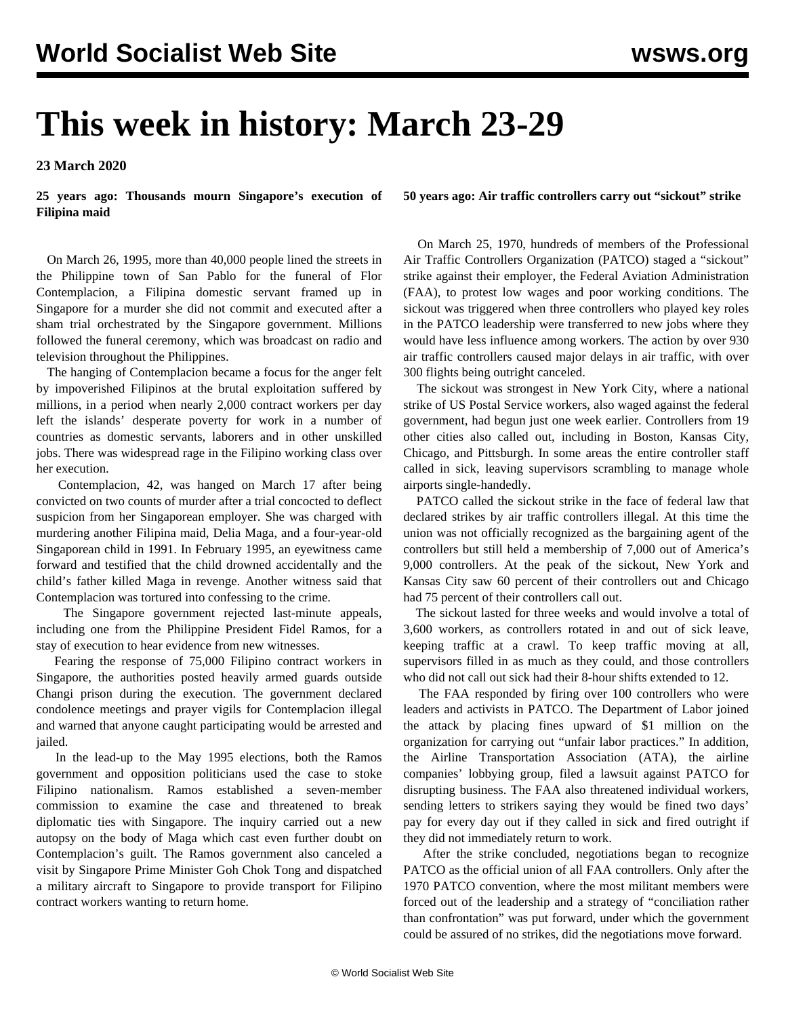## **This week in history: March 23-29**

**23 March 2020**

**25 years ago: Thousands mourn Singapore's execution of Filipina maid**

 On March 26, 1995, more than 40,000 people lined the streets in the Philippine town of San Pablo for the funeral of Flor Contemplacion, a Filipina domestic servant framed up in Singapore for a murder she did not commit and executed after a sham trial orchestrated by the Singapore government. Millions followed the funeral ceremony, which was broadcast on radio and television throughout the Philippines.

 The hanging of Contemplacion became a focus for the anger felt by impoverished Filipinos at the brutal exploitation suffered by millions, in a period when nearly 2,000 contract workers per day left the islands' desperate poverty for work in a number of countries as domestic servants, laborers and in other unskilled jobs. There was widespread rage in the Filipino working class over her execution.

 Contemplacion, 42, was hanged on March 17 after being convicted on two counts of murder after a trial concocted to deflect suspicion from her Singaporean employer. She was charged with murdering another Filipina maid, Delia Maga, and a four-year-old Singaporean child in 1991. In February 1995, an eyewitness came forward and testified that the child drowned accidentally and the child's father killed Maga in revenge. Another witness said that Contemplacion was tortured into confessing to the crime.

 The Singapore government rejected last-minute appeals, including one from the Philippine President Fidel Ramos, for a stay of execution to hear evidence from new witnesses.

 Fearing the response of 75,000 Filipino contract workers in Singapore, the authorities posted heavily armed guards outside Changi prison during the execution. The government declared condolence meetings and prayer vigils for Contemplacion illegal and warned that anyone caught participating would be arrested and jailed.

 In the lead-up to the May 1995 elections, both the Ramos government and opposition politicians used the case to stoke Filipino nationalism. Ramos established a seven-member commission to examine the case and threatened to break diplomatic ties with Singapore. The inquiry carried out a new autopsy on the body of Maga which cast even further doubt on Contemplacion's guilt. The Ramos government also canceled a visit by Singapore Prime Minister Goh Chok Tong and dispatched a military aircraft to Singapore to provide transport for Filipino contract workers wanting to return home.

**50 years ago: Air traffic controllers carry out "sickout" strike**

 On March 25, 1970, hundreds of members of the Professional Air Traffic Controllers Organization (PATCO) staged a "sickout" strike against their employer, the Federal Aviation Administration (FAA), to protest low wages and poor working conditions. The sickout was triggered when three controllers who played key roles in the PATCO leadership were transferred to new jobs where they would have less influence among workers. The action by over 930 air traffic controllers caused major delays in air traffic, with over 300 flights being outright canceled.

 The sickout was strongest in New York City, where a national strike of US Postal Service workers, also waged against the federal government, had begun just one week earlier. Controllers from 19 other cities also called out, including in Boston, Kansas City, Chicago, and Pittsburgh. In some areas the entire controller staff called in sick, leaving supervisors scrambling to manage whole airports single-handedly.

 PATCO called the sickout strike in the face of federal law that declared strikes by air traffic controllers illegal. At this time the union was not officially recognized as the bargaining agent of the controllers but still held a membership of 7,000 out of America's 9,000 controllers. At the peak of the sickout, New York and Kansas City saw 60 percent of their controllers out and Chicago had 75 percent of their controllers call out.

 The sickout lasted for three weeks and would involve a total of 3,600 workers, as controllers rotated in and out of sick leave, keeping traffic at a crawl. To keep traffic moving at all, supervisors filled in as much as they could, and those controllers who did not call out sick had their 8-hour shifts extended to 12.

 The FAA responded by firing over 100 controllers who were leaders and activists in PATCO. The Department of Labor joined the attack by placing fines upward of \$1 million on the organization for carrying out "unfair labor practices." In addition, the Airline Transportation Association (ATA), the airline companies' lobbying group, filed a lawsuit against PATCO for disrupting business. The FAA also threatened individual workers, sending letters to strikers saying they would be fined two days' pay for every day out if they called in sick and fired outright if they did not immediately return to work.

 After the strike concluded, negotiations began to recognize PATCO as the official union of all FAA controllers. Only after the 1970 PATCO convention, where the most militant members were forced out of the leadership and a strategy of "conciliation rather than confrontation" was put forward, under which the government could be assured of no strikes, did the negotiations move forward.